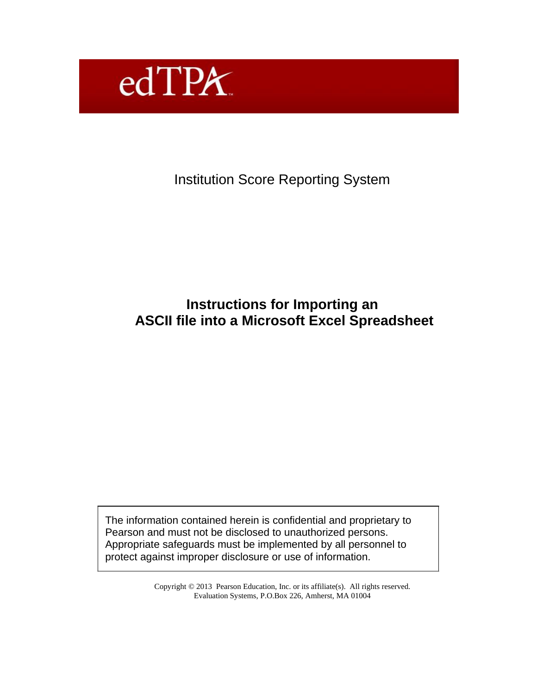

Institution Score Reporting System

## **Instructions for Importing an ASCII file into a Microsoft Excel Spreadsheet**

The information contained herein is confidential and proprietary to Pearson and must not be disclosed to unauthorized persons. Appropriate safeguards must be implemented by all personnel to protect against improper disclosure or use of information.

> Copyright © 2013 Pearson Education, Inc. or its affiliate(s). All rights reserved. Evaluation Systems, P.O.Box 226, Amherst, MA 01004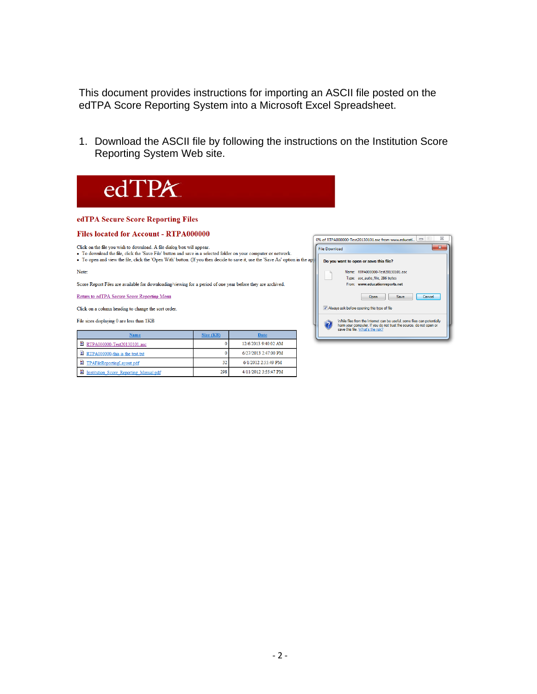This document provides instructions for importing an ASCII file posted on the edTPA Score Reporting System into a Microsoft Excel Spreadsheet.

1. Download the ASCII file by following the instructions on the Institution Score Reporting System Web site.

 $\overline{\mathbf{x}}$ 

 $\mathbf{x}$ 

edTPA edTPA Secure Score Reporting Files Files located for Account - RTPA000000 0% of RTPA000000-Test20130101.asc from www.educati...  $\boxed{\square}$ Click on the file you wish to download. A file dialog box will appear. File Download • To download the file, click the 'Save File' button and save in a selected folder on your computer or network.<br>• To download the file, click the 'Save File' button and save in a selected folder on your computer or network Do you want to open or save this file? Name: RTPA000000-Test20130101.asc Note: Type: asc\_auto\_file, 286 bytes Score Report Files are available for downloading/viewing for a period of one year before they are archived. From: www.educationreports.net Return to edTPA Secure Score Reporting Menu Open Save Cancel Always ask before opening this type of file Click on a column heading to change the sort order. While files from the Internet can be useful, some files can potentially<br>harm your computer. If you do not trust the source, do not open or<br>save this file.  $\underline{\text{What's the risk}}$ ? File sizes displaying 0 are less than 1KB

| Name                                          | Size (KB) | <b>Date</b>           |
|-----------------------------------------------|-----------|-----------------------|
| 曽<br>RTPA000000-Test20130101.asc              |           | 12/6/2013 9:40:02 AM  |
| RTPA000000-this is the test.txt               |           | 6/27/2013 2:47:00 PM  |
| <sup>2</sup> TPAFileReportingLayout.pdf       | 32        | $6/1/2012$ 2:55:49 PM |
| <b>Institution Score Reporting Manual.pdf</b> | 298       | 4/11/2012 3:55:47 PM  |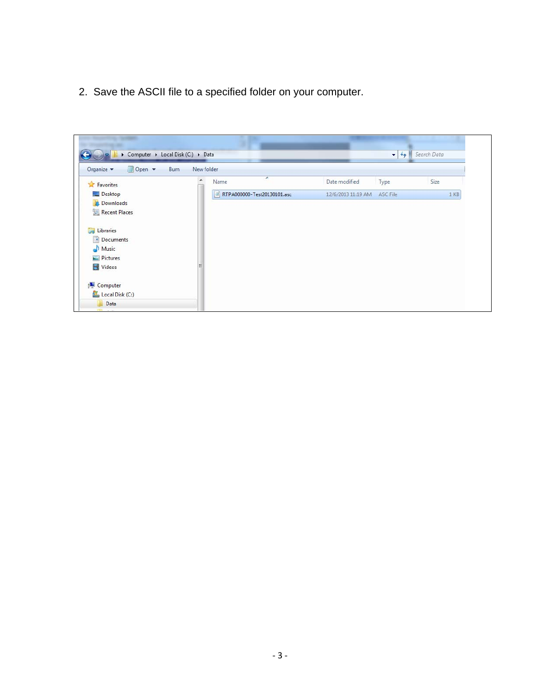2. Save the ASCII file to a specified folder on your computer.

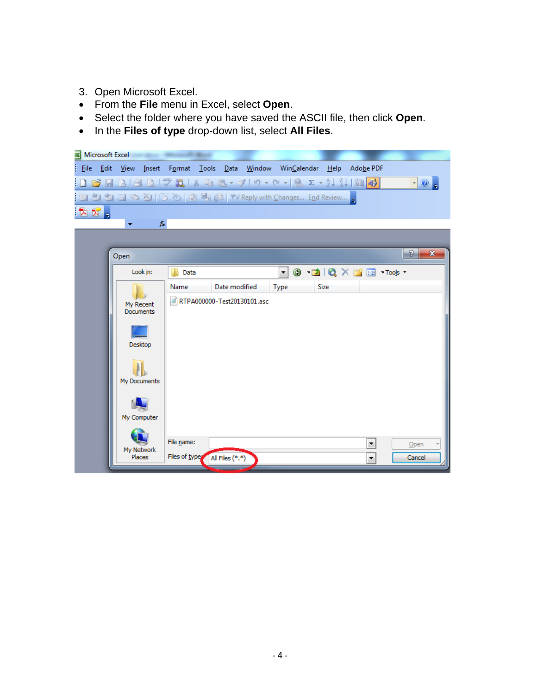- 3. Open Microsoft Excel.
- From the **File** menu in Excel, select **Open**.
- Select the folder where you have saved the ASCII file, then click **Open**.
- In the **Files of type** drop-down list, select **All Files**.

|                  |                               |          | <b>Microsoft Excel Microsoft Excel</b> |                 |                                                                 |      |                          |        |                |              |
|------------------|-------------------------------|----------|----------------------------------------|-----------------|-----------------------------------------------------------------|------|--------------------------|--------|----------------|--------------|
| <b>Eile</b> Edit |                               |          |                                        |                 | View Insert Format Tools Data Window WinCalendar Help Adobe PDF |      |                          |        |                |              |
|                  |                               |          |                                        |                 |                                                                 |      |                          |        | $\cdot$ 0      |              |
|                  |                               |          |                                        |                 | 也包包②더とD めんのもね(P) V×Reply with Changes End Review                |      |                          |        |                |              |
| BT.              |                               |          |                                        |                 |                                                                 |      |                          |        |                |              |
|                  | ▼                             | fx       |                                        |                 |                                                                 |      |                          |        |                |              |
|                  |                               |          |                                        |                 |                                                                 |      |                          |        |                |              |
|                  | Open                          |          |                                        |                 |                                                                 |      |                          |        | $\sqrt{2}$     | $\mathbf{x}$ |
|                  |                               | Look in: | Data                                   |                 |                                                                 | ∼∥   | <b>◎ □ © × ■ Tools -</b> |        |                |              |
|                  |                               |          | Name                                   | Date modified   |                                                                 | Type | <b>Size</b>              |        |                |              |
|                  | My Recent<br><b>Documents</b> |          |                                        |                 | RTPA000000-Test20130101.asc                                     |      |                          |        |                |              |
|                  | Desktop                       |          |                                        |                 |                                                                 |      |                          |        |                |              |
|                  | My Documents                  |          |                                        |                 |                                                                 |      |                          |        |                |              |
|                  | My Computer                   |          |                                        |                 |                                                                 |      |                          |        |                |              |
|                  | My Network<br><b>Places</b>   |          | File name:<br>Files of type            | All Files (*.*) |                                                                 |      |                          | ۰<br>۰ | Open<br>Cancel |              |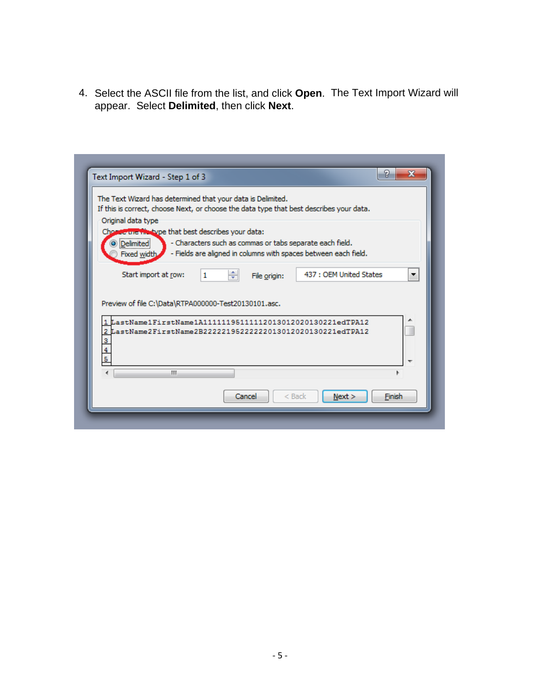4. Select the ASCII file from the list, and click **Open**. The Text Import Wizard will appear. Select **Delimited**, then click **Next**.

| If this is correct, choose Next, or choose the data type that best describes your data. |   |   | The Text Wizard has determined that your data is Delimited. |                                                                 |  |
|-----------------------------------------------------------------------------------------|---|---|-------------------------------------------------------------|-----------------------------------------------------------------|--|
| Original data type                                                                      |   |   |                                                             |                                                                 |  |
| Choroe the thospe that best describes your data:                                        |   |   |                                                             |                                                                 |  |
| <u> D</u> elimited                                                                      |   |   |                                                             | - Characters such as commas or tabs separate each field.        |  |
| Fixed width.                                                                            |   |   |                                                             | - Fields are aligned in columns with spaces between each field. |  |
| Start import at row:                                                                    | 1 | ÷ | File origin:                                                | 437 : OEM United States                                         |  |
|                                                                                         |   |   |                                                             |                                                                 |  |
| Preview of file C:\Data\RTPA000000-Test20130101.asc.                                    |   |   |                                                             |                                                                 |  |
|                                                                                         |   |   |                                                             |                                                                 |  |
|                                                                                         |   |   |                                                             |                                                                 |  |
| 1 LastName1FirstName1A11111195111112013012020130221edTPA12                              |   |   |                                                             |                                                                 |  |
| 2 LastName2FirstName2B22222195222222013012020130221edTPA12                              |   |   |                                                             |                                                                 |  |
| 3<br>$\overline{\mathbf{4}}$                                                            |   |   |                                                             |                                                                 |  |
| 5                                                                                       |   |   |                                                             |                                                                 |  |
| ₫                                                                                       | m |   |                                                             |                                                                 |  |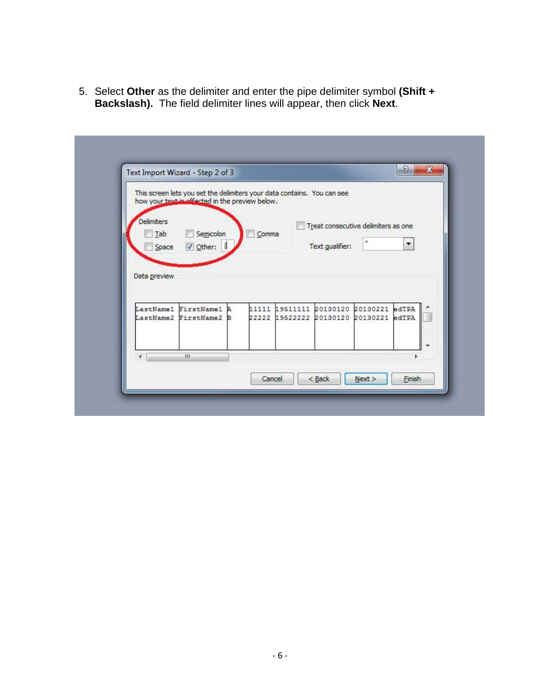5. Select Other as the delimiter and enter the pipe delimiter symbol (Shift + Backslash). The field delimiter lines will appear, then click Next.

|                   | This screen lets you set the delimiters your data contains. You can see<br>how your text is affected in the preview below. |         |                                  |                 |                                     |                          |
|-------------------|----------------------------------------------------------------------------------------------------------------------------|---------|----------------------------------|-----------------|-------------------------------------|--------------------------|
| <b>Delimiters</b> |                                                                                                                            |         |                                  |                 | Treat consecutive delimiters as one |                          |
| Tab<br>Space      | Semicolon<br>Other:                                                                                                        | $Comma$ |                                  | Text gualifier: | $\mathbb{R}$                        | $\overline{\phantom{a}}$ |
|                   |                                                                                                                            |         |                                  |                 |                                     |                          |
| Data preview      |                                                                                                                            |         |                                  |                 |                                     |                          |
|                   | LastName1 FirstName1 A                                                                                                     |         | 11111 19511111 20130120 20130221 |                 |                                     | edTPA                    |
|                   | LastName2 FirstName2 B                                                                                                     |         | 22222 19522222 20130120 20130221 |                 |                                     | edTPA                    |
|                   |                                                                                                                            |         |                                  |                 |                                     |                          |
|                   |                                                                                                                            |         |                                  |                 |                                     |                          |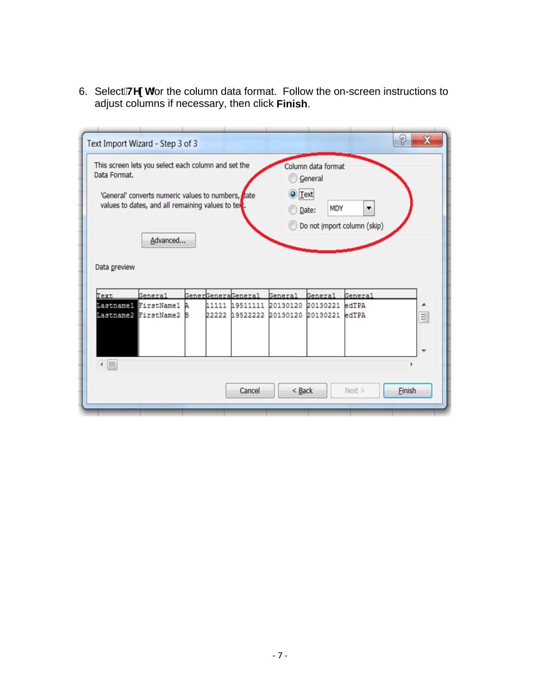6. SelectANY hfor the column data format. Follow the on-screen instructions to adjust columns if necessary, then click Finish.

| Data Format.              | Text Import Wizard - Step 3 of 3<br>This screen lets you select each column and set the<br>'General' converts numeric values to numbers, date<br>values to dates, and all remaining values to text. |   |       |                            | O Text            | Column data format<br>General<br><b>MDY</b><br>Date: | ▼       | P<br>X   |
|---------------------------|-----------------------------------------------------------------------------------------------------------------------------------------------------------------------------------------------------|---|-------|----------------------------|-------------------|------------------------------------------------------|---------|----------|
|                           | Advanced                                                                                                                                                                                            |   |       |                            |                   | Do not import column (skip)                          |         |          |
|                           |                                                                                                                                                                                                     |   |       |                            |                   |                                                      |         |          |
| Text                      | General                                                                                                                                                                                             |   |       | <u> GenerGeneraGeneral</u> | <b>General</b>    | General                                              | General |          |
| Data preview<br>Lastname1 | <b>FirstName1</b>                                                                                                                                                                                   |   | 11111 | 19511111                   | 20130120          | 20130221                                             | edTPA   |          |
|                           | Lastname2 FirstName2                                                                                                                                                                                | в | 22222 | 19522222                   | 20130120 20130221 |                                                      | edTPA   | $\equiv$ |
| $\leftarrow$ [H]          |                                                                                                                                                                                                     |   |       |                            |                   |                                                      |         |          |